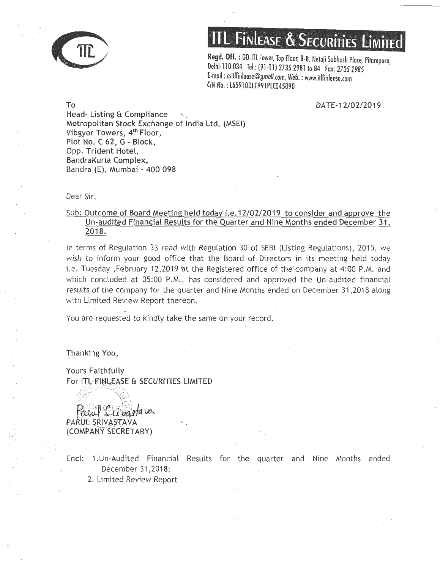

# **Finlease & Securities Limited**

**Regd. Off.** : GD-ITl Tower, Top Floor, B-8, Netaji Subhash Place, Pitampura Delhi-110 034. Tel: (91-11) 2735 2981 to 84 Fax: 2735 2985 E-mail : csillfinlease@gmail.com, Web. : www.itlfinlease.com CIN No.: l6591 0Dll991 PlC045090

DATE-12/02/2019

To Head- Listing & Compliance Metropolitan Stock Exchange of India Ltd. (MSEI) Vibgyor Towers, 4<sup>th</sup> Floor, Plot No. C 62, G - Block, Opp. Trident Hotel, BandraKurla Complex, Bandra (E), Mumbai - 400 098

Dear Sir,

### Sub: Outcome of Board Meeting held today i.e.12/02/2019 to consider and approve the Un-audited Financial Results for the Quarter and Nine Months ended December 31, 2018.

In terms of Regulation 33 read with Regulation 30 of SEBI (Listing Regulations), 2015, we wish to inform your good office that the Board of Directors in its meeting held today i.e. Tuesday ,February 12,2019 at the Registered office of the company at 4:00 P.M. and which concluded at 05:00 P.M., has considered and approved the Un-audited financial results of the company for the quarter and Nine Months ended on December 31,2018 along with Limited Review Report thereon.

You are requested to kindly take the same on your record.

hanking You,

. . . .

Yours Faithfully For ITL FINLEASE & SECURITIES LIMITED

u vartava PARUL SRIVASTAVA (COMPANY SECRETARY)

Encl: 1. Un-Audited Financial Results for the quarter and Nine Months ended December 31 ,2018;

2. Limited Review Report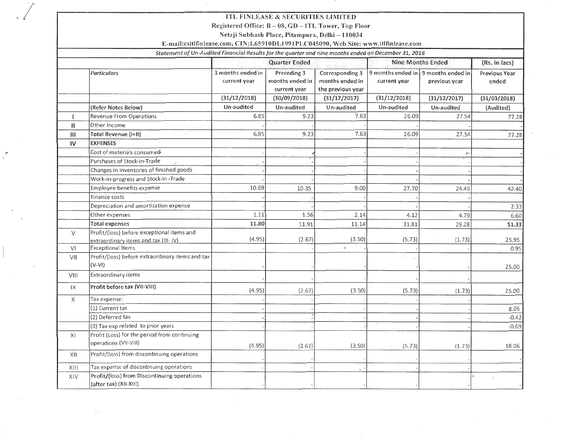#### ITL FINLEASE & SECURITIES LIMITED

Registered Office: B- 08, GO- ITL Tower, Top Floor

Netaji Subhash Place, Pitampura, Delhi - 110034

#### E-mail:csitlfinlease.com, CIN:L659100L1991 PLC045090, Web Site: www.itlfinlease.com

#### *Statement of Un-Audited Financial Results for the quarter and nine months ended on December 31, 2018*

|  |                |                                                                                    |                                   | <b>Quarter Ended</b>                           |                                                         | <b>Nine Months Ended</b>                              |                          | (Rs. in lacs)          |
|--|----------------|------------------------------------------------------------------------------------|-----------------------------------|------------------------------------------------|---------------------------------------------------------|-------------------------------------------------------|--------------------------|------------------------|
|  |                | Particulars                                                                        | 3 months ended in<br>current year | Preceding 3<br>months ended in<br>current year | Corresponding 3<br>months ended in<br>the previous year | 9 months ended in   9 months ended in<br>current year | previous year            | Previous Year<br>ended |
|  |                |                                                                                    | (31/12/2018)                      | (30/09/2018)                                   | (31/12/2017)                                            | (31/12/2018)                                          | (31/12/2017)             | (31/03/2018)           |
|  |                | (Refer Notes Below)                                                                | Un-audited                        | Un-audited                                     | Un-audited                                              | Un-audited                                            | Un-audited               | (Audited)              |
|  |                | Revenue From Operations                                                            | 6.85                              | 9.23                                           | 7.63                                                    | 26.09                                                 | 27.54                    | 77.28                  |
|  | $\mathbf{II}$  | Other Income                                                                       |                                   |                                                |                                                         |                                                       |                          |                        |
|  | $\mathbf{III}$ | Total Revenue (i+II)                                                               | 6.85                              | 9.23                                           | 7.63                                                    | 26.09                                                 | 27.54                    | 77.28                  |
|  | IV             | <b>EXPENSES</b>                                                                    |                                   |                                                |                                                         |                                                       |                          |                        |
|  |                | Cost of materials consumed                                                         |                                   |                                                |                                                         |                                                       | $\overline{\phantom{a}}$ |                        |
|  |                | Purchases of Stock-in-Trade                                                        |                                   |                                                |                                                         |                                                       |                          |                        |
|  |                | Changes in inventories of finished goods                                           |                                   |                                                |                                                         |                                                       |                          |                        |
|  |                | Work-in-progress and Stock-in-Trade                                                |                                   |                                                |                                                         |                                                       |                          |                        |
|  |                | Employee benefits expense                                                          | 10.69                             | 10.35                                          | 9.00                                                    | 27.70                                                 | 24.49                    | 42.40                  |
|  |                | Finance costs                                                                      |                                   |                                                |                                                         |                                                       |                          |                        |
|  |                | Depreciation and amortization expense                                              |                                   |                                                |                                                         |                                                       |                          | 2.33                   |
|  |                | Other expenses                                                                     | 1.11                              | 1.56                                           | 2.14                                                    | 4.12                                                  | 4.79                     | 6.60                   |
|  |                | <b>Total expenses</b>                                                              | 11.80                             | 11.91                                          | 11.14                                                   | 31.81                                                 | 29.28                    | 51.33                  |
|  | $\vee$         | Profit/(loss) before exceptional items and<br>extraordinary items and tax (III-IV) | (4.95)                            | (2.67)                                         | (3.50)                                                  | (5.73)                                                | (1.73)                   | 25.95                  |
|  | V <sub>l</sub> | <b>Exceptional Items</b>                                                           |                                   |                                                |                                                         |                                                       |                          | 0.95                   |
|  | VII            | Profit/(loss) before extraordinary items and tax<br>$(V-VI)$                       |                                   |                                                |                                                         | $\;$                                                  |                          | 25.00                  |
|  | VIII           | Extraordinary items                                                                |                                   |                                                |                                                         |                                                       |                          |                        |
|  | IX             | Profit before tax (VII-VIII)                                                       | (4.95)                            | (2.67)                                         | (3.50)                                                  | (5.73)                                                | (1.73)                   | 25.00                  |
|  | $\times$       | Tax expense:                                                                       |                                   |                                                |                                                         |                                                       |                          |                        |
|  |                | (1) Current tax                                                                    |                                   |                                                |                                                         |                                                       |                          | 8.05                   |
|  |                | (2) Deferred tax                                                                   |                                   |                                                |                                                         |                                                       |                          | $-0.42$                |
|  |                | (3) Tax exp related to prior years                                                 |                                   |                                                |                                                         |                                                       |                          | $-0.69$                |
|  | XI             | Profit (Loss) for the period from continuing<br>operations (VII-VIII)              | (4.95)                            | (2.67)                                         | (3.50)                                                  | (5.73)                                                | (1.73)                   | 18.06                  |
|  | XII            | Profit/(loss) from discontinuing operations                                        |                                   |                                                |                                                         |                                                       |                          |                        |
|  | XIII           | Tax expense of discontinuing operations                                            |                                   |                                                |                                                         |                                                       |                          |                        |
|  | XIV            | Profit/(loss) from Discontinuing operations<br>(after tax) (XII-XIII)              |                                   |                                                |                                                         |                                                       |                          | -3                     |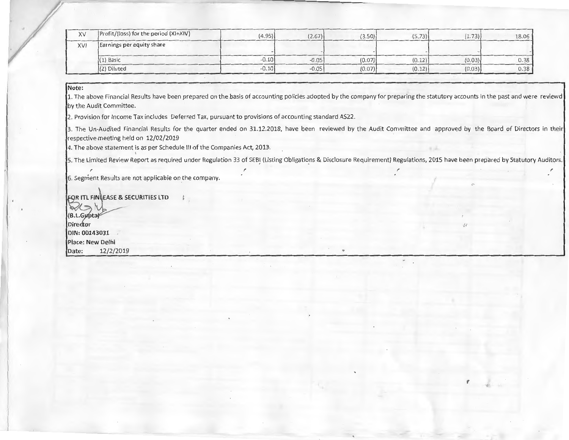| XV  | Profit/(loss) for the period (XI+XIV) | (4.95)  | (2.67)  | (3.50) | (5.73) | (1.73) | 18.06 |
|-----|---------------------------------------|---------|---------|--------|--------|--------|-------|
| XVI | Earnings per equity share             |         |         |        |        |        |       |
|     | $(1)$ Basic                           | $-0.10$ | $-0.05$ | (0.07) | (0.12) | (0.03) | 0.38  |
|     | $(2)$ Diluted                         | $-0.10$ | $-0.05$ | (0.07) | (0.12) | (0.03) | 0.38  |
|     |                                       |         |         |        |        |        |       |

#### **Note:**

1. The above Financial Results have been prepared on the basis of accounting policies adopted by the company for preparing the statutory accounts in the past and were reviewd by the Audit Committee.

2. Provision for Income Tax includes Deferred Tax, pursuant to provisions of accounting standard AS22.

3. The Un-Audited Financial Results for the quarter ended on 31.12.2018, have been reviewed by the Audit Committee and approved by the Board of Directors in their respective meeting held on 12/02/2019

4. The above statement is as per Schedule **Ill** of the Companies Act, 2013-.

5. The Limited Review Report as required under Regulation 33 of SEBI (Listing Obligations & Disclosure Requirement) Regulations, 2015 have been prepared by Statutory Auditors.

 $\blacksquare$ 

*t* 

6. Segment Results are not applicable on the company.

**R ITL FIN\ EASE & SECURITIES LTD (B.L.Gupta) DIN: 00143031 Place: New Delhi Date:** 12/2/2019

I"